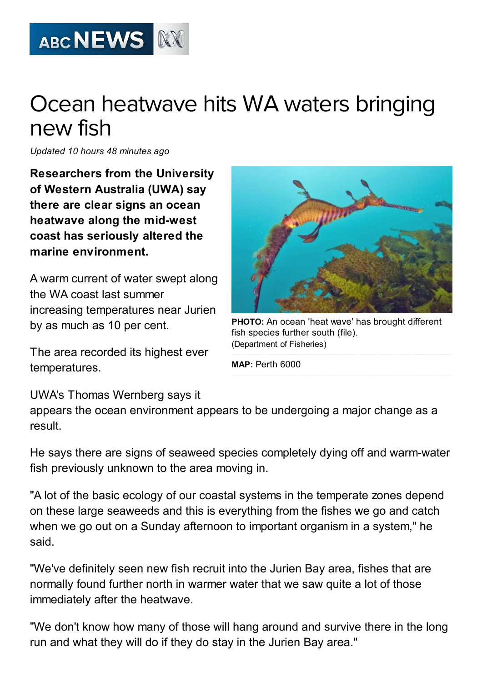

## Ocean heatwave hits WA waters bringing new fish

Updated 10 hours 48 minutes ago

Researchers from the University of Western Australia (UWA) say there are clear signs an ocean heatwave along the mid-west coast has seriously altered the marine environment.

A warm current of water swept along the WA coast last summer increasing temperatures near Jurien by as much as 10 per cent.

The area recorded its highest ever temperatures.



PHOTO: An ocean 'heat wave' has brought different fish species further south (file). [\(Department](http://www.abc.net.au/news/2012-12-07/wa-weedy-sea-dragon-swimming-in-ocean-with-seaweed/4414748) of Fisheries)

MAP: [Perth](http://maps.google.com/?q=-31.9234,115.8834(Perth%206000)&z=5) 6000

## UWA's Thomas Wernberg says it

appears the ocean environment appears to be undergoing a major change as a result.

He says there are signs of seaweed species completely dying off and warm-water fish previously unknown to the area moving in.

"A lot of the basic ecology of our coastal systems in the temperate zones depend on these large seaweeds and this is everything from the fishes we go and catch when we go out on a Sunday afternoon to important organism in a system," he said.

"We've definitely seen new fish recruit into the Jurien Bay area, fishes that are normally found further north in warmer water that we saw quite a lot of those immediately after the heatwave.

"We don't know how many of those will hang around and survive there in the long run and what they will do if they do stay in the Jurien Bay area."